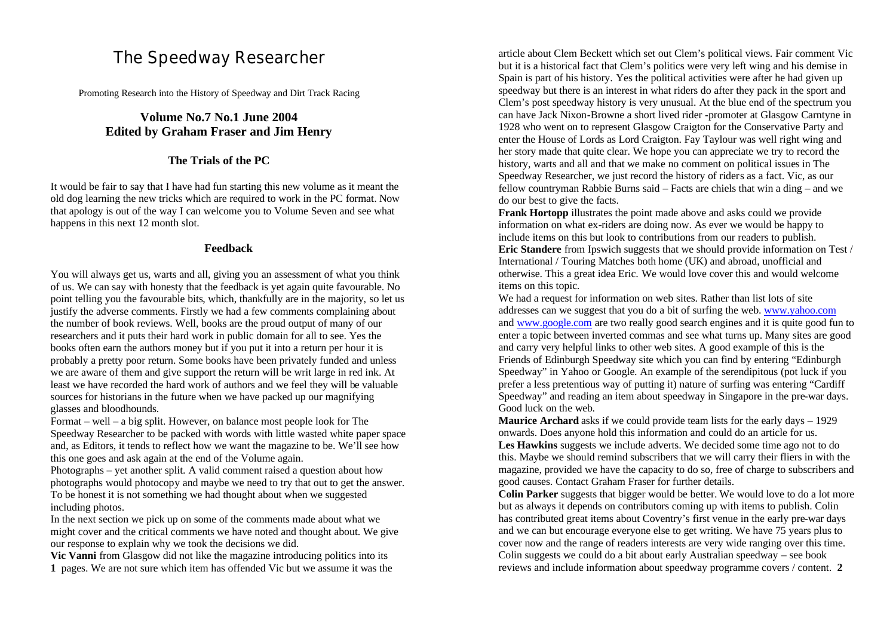# The Speedway Researcher

Promoting Research into the History of Speedway and Dirt Track Racing

# **Volume No.7 No.1 June 2004 Edited by Graham Fraser and Jim Henry**

#### **The Trials of the PC**

It would be fair to say that I have had fun starting this new volume as it meant the old dog learning the new tricks which are required to work in the PC format. Now that apology is out of the way I can welcome you to Volume Seven and see what happens in this next 12 month slot.

#### **Feedback**

You will always get us, warts and all, giving you an assessment of what you think of us. We can say with honesty that the feedback is yet again quite favourable. No point telling you the favourable bits, which, thankfully are in the majority, so let us justify the adverse comments. Firstly we had a few comments complaining about the number of book reviews. Well, books are the proud output of many of our researchers and it puts their hard work in public domain for all to see. Yes the books often earn the authors money but if you put it into a return per hour it is probably a pretty poor return. Some books have been privately funded and unless we are aware of them and give support the return will be writ large in red ink. At least we have recorded the hard work of authors and we feel they will be valuable sources for historians in the future when we have packed up our magnifying glasses and bloodhounds.

Format – well – a big split. However, on balance most people look for The Speedway Researcher to be packed with words with little wasted white paper space and, as Editors, it tends to reflect how we want the magazine to be. We'll see how this one goes and ask again at the end of the Volume again.

Photographs – yet another split. A valid comment raised a question about how photographs would photocopy and maybe we need to try that out to get the answer. To be honest it is not something we had thought about when we suggested including photos.

In the next section we pick up on some of the comments made about what we might cover and the critical comments we have noted and thought about. We give our response to explain why we took the decisions we did.

**Vic Vanni** from Glasgow did not like the magazine introducing politics into its **1** pages. We are not sure which item has offended Vic but we assume it was the

article about Clem Beckett which set out Clem's political views. Fair comment Vic but it is a historical fact that Clem's politics were very left wing and his demise in Spain is part of his history. Yes the political activities were after he had given up speedway but there is an interest in what riders do after they pack in the sport and Clem's post speedway history is very unusual. At the blue end of the spectrum you can have Jack Nixon-Browne a short lived rider -promoter at Glasgow Carntyne in 1928 who went on to represent Glasgow Craigton for the Conservative Party and enter the House of Lords as Lord Craigton. Fay Taylour was well right wing and her story made that quite clear. We hope you can appreciate we try to record the history, warts and all and that we make no comment on political issues in The Speedway Researcher, we just record the history of riders as a fact. Vic, as our fellow countryman Rabbie Burns said – Facts are chiels that win a ding – and we do our best to give the facts.

**Frank Hortopp** illustrates the point made above and asks could we provide information on what ex-riders are doing now. As ever we would be happy to include items on this but look to contributions from our readers to publish. **Eric Standere** from Ipswich suggests that we should provide information on Test / International / Touring Matches both home (UK) and abroad, unofficial and otherwise. This a great idea Eric. We would love cover this and would welcome items on this topic.

We had a request for information on web sites. Rather than list lots of site addresses can we suggest that you do a bit of surfing the web. www.yahoo.com and www.google.com are two really good search engines and it is quite good fun to enter a topic between inverted commas and see what turns up. Many sites are good and carry very helpful links to other web sites. A good example of this is the Friends of Edinburgh Speedway site which you can find by entering "Edinburgh Speedway" in Yahoo or Google. An example of the serendipitous (pot luck if you prefer a less pretentious way of putting it) nature of surfing was entering "Cardiff Speedway" and reading an item about speedway in Singapore in the pre-war days. Good luck on the web.

**Maurice Archard** asks if we could provide team lists for the early days – 1929 onwards. Does anyone hold this information and could do an article for us.

**Les Hawkins** suggests we include adverts. We decided some time ago not to do this. Maybe we should remind subscribers that we will carry their fliers in with the magazine, provided we have the capacity to do so, free of charge to subscribers and good causes. Contact Graham Fraser for further details.

**Colin Parker** suggests that bigger would be better. We would love to do a lot more but as always it depends on contributors coming up with items to publish. Colin has contributed great items about Coventry's first venue in the early pre-war days and we can but encourage everyone else to get writing. We have 75 years plus to cover now and the range of readers interests are very wide ranging over this time. Colin suggests we could do a bit about early Australian speedway – see book reviews and include information about speedway programme covers / content. **2**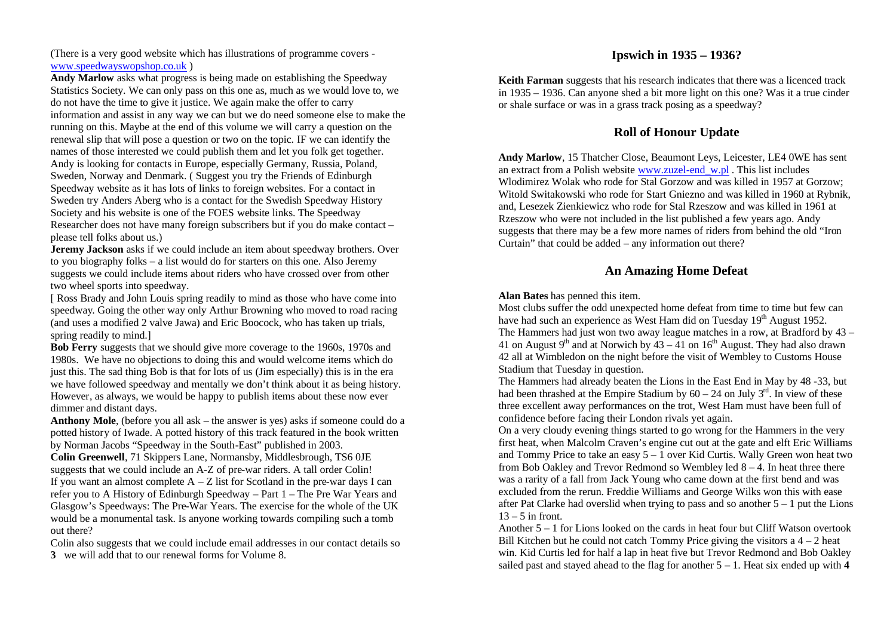(There is a very good website which has illustrations of programme covers www.speedwayswopshop.co.uk )

**Andy Marlow** asks what progress is being made on establishing the Speedway Statistics Society. We can only pass on this one as, much as we would love to, we do not have the time to give it justice. We again make the offer to carry information and assist in any way we can but we do need someone else to make the running on this. Maybe at the end of this volume we will carry a question on the renewal slip that will pose a question or two on the topic. IF we can identify the names of those interested we could publish them and let you folk get together. Andy is looking for contacts in Europe, especially Germany, Russia, Poland, Sweden, Norway and Denmark. ( Suggest you try the Friends of Edinburgh Speedway website as it has lots of links to foreign websites. For a contact in Sweden try Anders Aberg who is a contact for the Swedish Speedway History Society and his website is one of the FOES website links. The Speedway Researcher does not have many foreign subscribers but if you do make contact – please tell folks about us.)

**Jeremy Jackson** asks if we could include an item about speedway brothers. Over to you biography folks – a list would do for starters on this one. Also Jeremy suggests we could include items about riders who have crossed over from other two wheel sports into speedway.

[ Ross Brady and John Louis spring readily to mind as those who have come into speedway. Going the other way only Arthur Browning who moved to road racing (and uses a modified 2 valve Jawa) and Eric Boocock, who has taken up trials, spring readily to mind.]

**Bob Ferry** suggests that we should give more coverage to the 1960s, 1970s and 1980s. We have no objections to doing this and would welcome items which do just this. The sad thing Bob is that for lots of us (Jim especially) this is in the era we have followed speedway and mentally we don't think about it as being history. However, as always, we would be happy to publish items about these now ever dimmer and distant days.

**Anthony Mole**, (before you all ask – the answer is yes) asks if someone could do a potted history of Iwade. A potted history of this track featured in the book written by Norman Jacobs "Speedway in the South-East" published in 2003.

**Colin Greenwell**, 71 Skippers Lane, Normansby, Middlesbrough, TS6 0JE suggests that we could include an A-Z of pre-war riders. A tall order Colin! If you want an almost complete  $A - Z$  list for Scotland in the pre-war days I can refer you to A History of Edinburgh Speedway – Part 1 – The Pre War Years and Glasgow's Speedways: The Pre-War Years. The exercise for the whole of the UK would be a monumental task. Is anyone working towards compiling such a tomb out there?

Colin also suggests that we could include email addresses in our contact details so **3** we will add that to our renewal forms for Volume 8.

# **Ipswich in 1935 – 1936?**

**Keith Farman** suggests that his research indicates that there was a licenced track in 1935 – 1936. Can anyone shed a bit more light on this one? Was it a true cinder or shale surface or was in a grass track posing as a speedway?

# **Roll of Honour Update**

**Andy Marlow**, 15 Thatcher Close, Beaumont Leys, Leicester, LE4 0WE has sent an extract from a Polish website www.zuzel-end w.pl. This list includes Wlodimirez Wolak who rode for Stal Gorzow and was killed in 1957 at Gorzow; Witold Switakowski who rode for Start Gniezno and was killed in 1960 at Rybnik, and, Lesezek Zienkiewicz who rode for Stal Rzeszow and was killed in 1961 at Rzeszow who were not included in the list published a few years ago. Andy suggests that there may be a few more names of riders from behind the old "Iron Curtain" that could be added – any information out there?

# **An Amazing Home Defeat**

#### **Alan Bates** has penned this item.

Most clubs suffer the odd unexpected home defeat from time to time but few can have had such an experience as West Ham did on Tuesday  $19<sup>th</sup>$  August 1952. The Hammers had just won two away league matches in a row, at Bradford by 43 – 41 on August 9<sup>th</sup> and at Norwich by  $43 - 41$  on  $16<sup>th</sup>$  August. They had also drawn 42 all at Wimbledon on the night before the visit of Wembley to Customs House Stadium that Tuesday in question.

The Hammers had already beaten the Lions in the East End in May by 48 -33, but had been thrashed at the Empire Stadium by  $60 - 24$  on July 3<sup>rd</sup>. In view of these three excellent away performances on the trot, West Ham must have been full of confidence before facing their London rivals yet again.

On a very cloudy evening things started to go wrong for the Hammers in the very first heat, when Malcolm Craven's engine cut out at the gate and elft Eric Williams and Tommy Price to take an easy  $5 - 1$  over Kid Curtis. Wally Green won heat two from Bob Oakley and Trevor Redmond so Wembley led  $8 - 4$ . In heat three there was a rarity of a fall from Jack Young who came down at the first bend and was excluded from the rerun. Freddie Williams and George Wilks won this with ease after Pat Clarke had overslid when trying to pass and so another  $5 - 1$  put the Lions  $13 - 5$  in front.

Another 5 – 1 for Lions looked on the cards in heat four but Cliff Watson overtook Bill Kitchen but he could not catch Tommy Price giving the visitors  $a$  4 – 2 heat win. Kid Curtis led for half a lap in heat five but Trevor Redmond and Bob Oakley sailed past and stayed ahead to the flag for another  $5 - 1$ . Heat six ended up with 4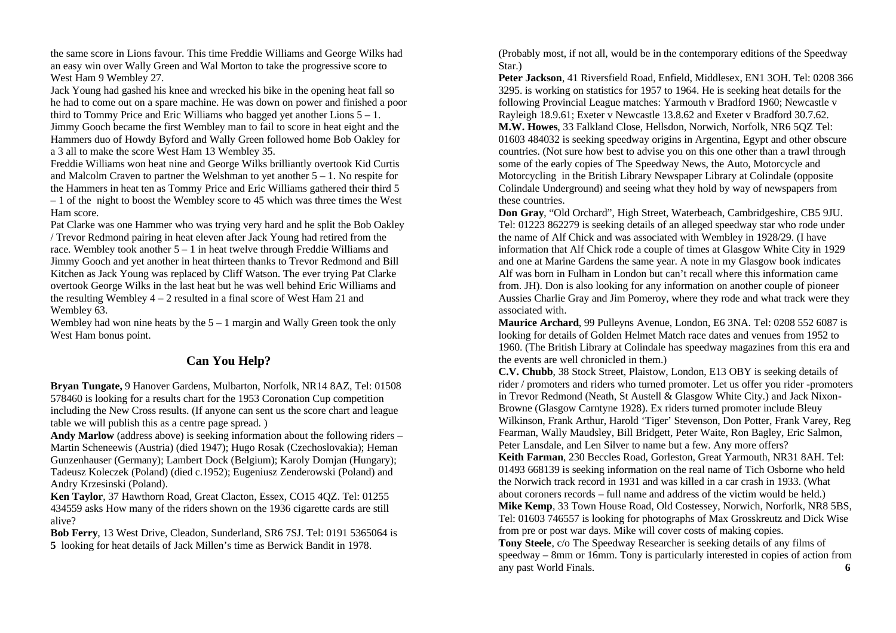the same score in Lions favour. This time Freddie Williams and George Wilks had an easy win over Wally Green and Wal Morton to take the progressive score to West Ham 9 Wembley 27.

Jack Young had gashed his knee and wrecked his bike in the opening heat fall so he had to come out on a spare machine. He was down on power and finished a poor third to Tommy Price and Eric Williams who bagged yet another Lions  $5 - 1$ .

Jimmy Gooch became the first Wembley man to fail to score in heat eight and the Hammers duo of Howdy Byford and Wally Green followed home Bob Oakley for a 3 all to make the score West Ham 13 Wembley 35.

Freddie Williams won heat nine and George Wilks brilliantly overtook Kid Curtis and Malcolm Craven to partner the Welshman to yet another  $5 - 1$ . No respite for the Hammers in heat ten as Tommy Price and Eric Williams gathered their third 5  $-1$  of the night to boost the Wembley score to 45 which was three times the West Ham score.

Pat Clarke was one Hammer who was trying very hard and he split the Bob Oakley / Trevor Redmond pairing in heat eleven after Jack Young had retired from the race. Wembley took another 5 – 1 in heat twelve through Freddie Williams and Jimmy Gooch and yet another in heat thirteen thanks to Trevor Redmond and Bill Kitchen as Jack Young was replaced by Cliff Watson. The ever trying Pat Clarke overtook George Wilks in the last heat but he was well behind Eric Williams and the resulting Wembley  $4 - 2$  resulted in a final score of West Ham 21 and Wembley 63.

Wembley had won nine heats by the  $5 - 1$  margin and Wally Green took the only West Ham bonus point.

# **Can You Help?**

**Bryan Tungate,** 9 Hanover Gardens, Mulbarton, Norfolk, NR14 8AZ, Tel: 01508 578460 is looking for a results chart for the 1953 Coronation Cup competition including the New Cross results. (If anyone can sent us the score chart and league table we will publish this as a centre page spread. )

**Andy Marlow** (address above) is seeking information about the following riders – Martin Scheneewis (Austria) (died 1947); Hugo Rosak (Czechoslovakia); Heman Gunzenhauser (Germany); Lambert Dock (Belgium); Karoly Domjan (Hungary); Tadeusz Koleczek (Poland) (died c.1952); Eugeniusz Zenderowski (Poland) and Andry Krzesinski (Poland).

**Ken Taylor**, 37 Hawthorn Road, Great Clacton, Essex, CO15 4QZ. Tel: 01255 434559 asks How many of the riders shown on the 1936 cigarette cards are still alive?

**Bob Ferry**, 13 West Drive, Cleadon, Sunderland, SR6 7SJ. Tel: 0191 5365064 is **5** looking for heat details of Jack Millen's time as Berwick Bandit in 1978.

(Probably most, if not all, would be in the contemporary editions of the Speedway Star.)

**Peter Jackson**, 41 Riversfield Road, Enfield, Middlesex, EN1 3OH. Tel: 0208 366 3295. is working on statistics for 1957 to 1964. He is seeking heat details for the following Provincial League matches: Yarmouth v Bradford 1960; Newcastle v Rayleigh 18.9.61; Exeter v Newcastle 13.8.62 and Exeter v Bradford 30.7.62. **M.W. Howes**, 33 Falkland Close, Hellsdon, Norwich, Norfolk, NR6 5QZ Tel: 01603 484032 is seeking speedway origins in Argentina, Egypt and other obscure countries. (Not sure how best to advise you on this one other than a trawl through some of the early copies of The Speedway News, the Auto, Motorcycle and Motorcycling in the British Library Newspaper Library at Colindale (opposite Colindale Underground) and seeing what they hold by way of newspapers from these countries.

**Don Gray**, "Old Orchard", High Street, Waterbeach, Cambridgeshire, CB5 9JU. Tel: 01223 862279 is seeking details of an alleged speedway star who rode under the name of Alf Chick and was associated with Wembley in 1928/29. (I have information that Alf Chick rode a couple of times at Glasgow White City in 1929 and one at Marine Gardens the same year. A note in my Glasgow book indicates Alf was born in Fulham in London but can't recall where this information came from. JH). Don is also looking for any information on another couple of pioneer Aussies Charlie Gray and Jim Pomeroy, where they rode and what track were they associated with.

**Maurice Archard**, 99 Pulleyns Avenue, London, E6 3NA. Tel: 0208 552 6087 is looking for details of Golden Helmet Match race dates and venues from 1952 to 1960. (The British Library at Colindale has speedway magazines from this era and the events are well chronicled in them.)

**C.V. Chubb**, 38 Stock Street, Plaistow, London, E13 OBY is seeking details of rider / promoters and riders who turned promoter. Let us offer you rider -promoters in Trevor Redmond (Neath, St Austell & Glasgow White City.) and Jack Nixon-Browne (Glasgow Carntyne 1928). Ex riders turned promoter include Bleuy Wilkinson, Frank Arthur, Harold 'Tiger' Stevenson, Don Potter, Frank Varey, Reg Fearman, Wally Maudsley, Bill Bridgett, Peter Waite, Ron Bagley, Eric Salmon, Peter Lansdale, and Len Silver to name but a few. Any more offers? **Keith Farman**, 230 Beccles Road, Gorleston, Great Yarmouth, NR31 8AH. Tel: 01493 668139 is seeking information on the real name of Tich Osborne who held the Norwich track record in 1931 and was killed in a car crash in 1933. (What about coroners records – full name and address of the victim would be held.) **Mike Kemp**, 33 Town House Road, Old Costessey, Norwich, Norforlk, NR8 5BS, Tel: 01603 746557 is looking for photographs of Max Grosskreutz and Dick Wise from pre or post war days. Mike will cover costs of making copies. **Tony Steele**, c/o The Speedway Researcher is seeking details of any films of speedway – 8mm or 16mm. Tony is particularly interested in copies of action from any past World Finals. **6**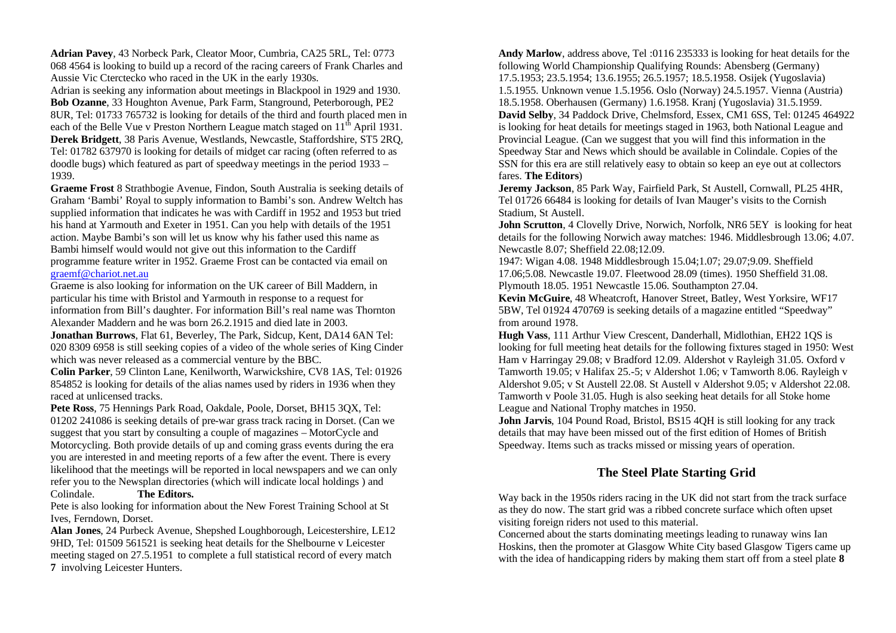**Adrian Pavey**, 43 Norbeck Park, Cleator Moor, Cumbria, CA25 5RL, Tel: 0773 068 4564 is looking to build up a record of the racing careers of Frank Charles and Aussie Vic Cterctecko who raced in the UK in the early 1930s.

Adrian is seeking any information about meetings in Blackpool in 1929 and 1930. **Bob Ozanne**, 33 Houghton Avenue, Park Farm, Stanground, Peterborough, PE2 8UR, Tel: 01733 765732 is looking for details of the third and fourth placed men in each of the Belle Vue v Preston Northern League match staged on  $11<sup>th</sup>$  April 1931. **Derek Bridgett**, 38 Paris Avenue, Westlands, Newcastle, Staffordshire, ST5 2RQ, Tel: 01782 637970 is looking for details of midget car racing (often referred to as doodle bugs) which featured as part of speedway meetings in the period 1933 – 1939.

**Graeme Frost** 8 Strathbogie Avenue, Findon, South Australia is seeking details of Graham 'Bambi' Royal to supply information to Bambi's son. Andrew Weltch has supplied information that indicates he was with Cardiff in 1952 and 1953 but tried his hand at Yarmouth and Exeter in 1951. Can you help with details of the 1951 action. Maybe Bambi's son will let us know why his father used this name as Bambi himself would would not give out this information to the Cardiff programme feature writer in 1952. Graeme Frost can be contacted via email on graemf@chariot.net.au

Graeme is also looking for information on the UK career of Bill Maddern, in particular his time with Bristol and Yarmouth in response to a request for information from Bill's daughter. For information Bill's real name was Thornton Alexander Maddern and he was born 26.2.1915 and died late in 2003.

**Jonathan Burrows**, Flat 61, Beverley, The Park, Sidcup, Kent, DA14 6AN Tel: 020 8309 6958 is still seeking copies of a video of the whole series of King Cinder which was never released as a commercial venture by the BBC.

**Colin Parker**, 59 Clinton Lane, Kenilworth, Warwickshire, CV8 1AS, Tel: 01926 854852 is looking for details of the alias names used by riders in 1936 when they raced at unlicensed tracks.

**Pete Ross**, 75 Hennings Park Road, Oakdale, Poole, Dorset, BH15 3QX, Tel: 01202 241086 is seeking details of pre-war grass track racing in Dorset. (Can we suggest that you start by consulting a couple of magazines – MotorCycle and Motorcycling. Both provide details of up and coming grass events during the era you are interested in and meeting reports of a few after the event. There is every likelihood that the meetings will be reported in local newspapers and we can only refer you to the Newsplan directories (which will indicate local holdings ) and Colindale. **The Editors.**

Pete is also looking for information about the New Forest Training School at St Ives, Ferndown, Dorset.

**Alan Jones**, 24 Purbeck Avenue, Shepshed Loughborough, Leicestershire, LE12 9HD, Tel: 01509 561521 is seeking heat details for the Shelbourne v Leicester meeting staged on 27.5.1951 to complete a full statistical record of every match **7** involving Leicester Hunters.

**Andy Marlow**, address above, Tel :0116 235333 is looking for heat details for the following World Championship Qualifying Rounds: Abensberg (Germany) 17.5.1953; 23.5.1954; 13.6.1955; 26.5.1957; 18.5.1958. Osijek (Yugoslavia) 1.5.1955. Unknown venue 1.5.1956. Oslo (Norway) 24.5.1957. Vienna (Austria) 18.5.1958. Oberhausen (Germany) 1.6.1958. Kranj (Yugoslavia) 31.5.1959. **David Selby**, 34 Paddock Drive, Chelmsford, Essex, CM1 6SS, Tel: 01245 464922 is looking for heat details for meetings staged in 1963, both National League and Provincial League. (Can we suggest that you will find this information in the Speedway Star and News which should be available in Colindale. Copies of the SSN for this era are still relatively easy to obtain so keep an eye out at collectors fares. **The Editors**)

**Jeremy Jackson**, 85 Park Way, Fairfield Park, St Austell, Cornwall, PL25 4HR, Tel 01726 66484 is looking for details of Ivan Mauger's visits to the Cornish Stadium, St Austell.

**John Scrutton**, 4 Clovelly Drive, Norwich, Norfolk, NR6 5EY is looking for heat details for the following Norwich away matches: 1946. Middlesbrough 13.06; 4.07. Newcastle 8.07; Sheffield 22.08;12.09.

1947: Wigan 4.08. 1948 Middlesbrough 15.04;1.07; 29.07;9.09. Sheffield 17.06;5.08. Newcastle 19.07. Fleetwood 28.09 (times). 1950 Sheffield 31.08. Plymouth 18.05. 1951 Newcastle 15.06. Southampton 27.04.

**Kevin McGuire**, 48 Wheatcroft, Hanover Street, Batley, West Yorksire, WF17 5BW, Tel 01924 470769 is seeking details of a magazine entitled "Speedway" from around 1978.

**Hugh Vass**, 111 Arthur View Crescent, Danderhall, Midlothian, EH22 1QS is looking for full meeting heat details for the following fixtures staged in 1950: West Ham v Harringay 29.08; v Bradford 12.09. Aldershot v Rayleigh 31.05. Oxford v Tamworth 19.05; v Halifax 25.-5; v Aldershot 1.06; v Tamworth 8.06. Rayleigh v Aldershot 9.05; v St Austell 22.08. St Austell v Aldershot 9.05; v Aldershot 22.08. Tamworth v Poole 31.05. Hugh is also seeking heat details for all Stoke home League and National Trophy matches in 1950.

**John Jarvis**, 104 Pound Road, Bristol, BS15 4QH is still looking for any track details that may have been missed out of the first edition of Homes of British Speedway. Items such as tracks missed or missing years of operation.

# **The Steel Plate Starting Grid**

Way back in the 1950s riders racing in the UK did not start from the track surface as they do now. The start grid was a ribbed concrete surface which often upset visiting foreign riders not used to this material.

Concerned about the starts dominating meetings leading to runaway wins Ian Hoskins, then the promoter at Glasgow White City based Glasgow Tigers came up with the idea of handicapping riders by making them start off from a steel plate **8**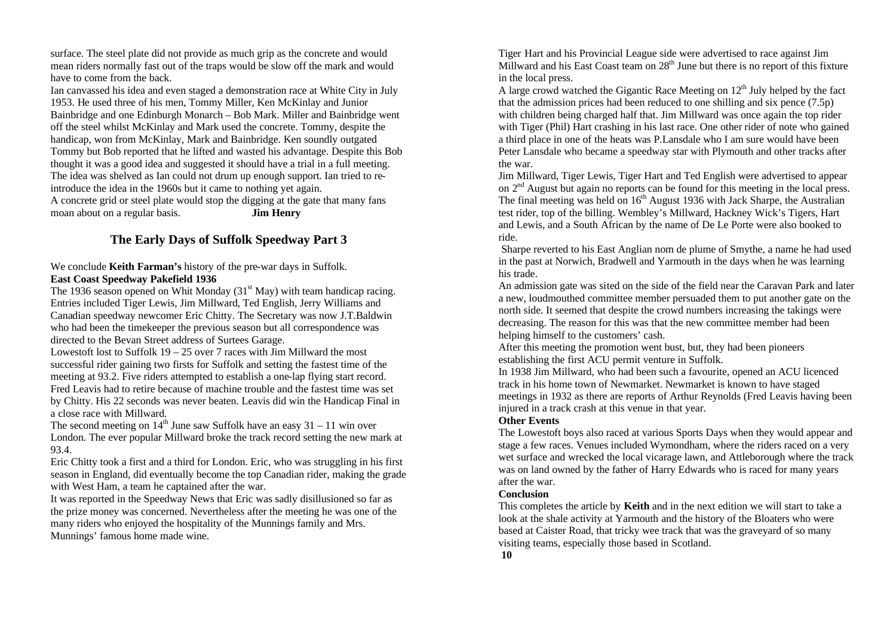surface. The steel plate did not provide as much grip as the concrete and would mean riders normally fast out of the traps would be slow off the mark and would have to come from the back.

Ian canvassed his idea and even staged a demonstration race at White City in July 1953. He used three of his men, Tommy Miller, Ken McKinlay and Junior Bainbridge and one Edinburgh Monarch – Bob Mark. Miller and Bainbridge went off the steel whilst McKinlay and Mark used the concrete. Tommy, despite the handicap, won from McKinlay, Mark and Bainbridge. Ken soundly outgated Tommy but Bob reported that he lifted and wasted his advantage. Despite this Bob thought it was a good idea and suggested it should have a trial in a full meeting. The idea was shelved as Ian could not drum up enough support. Ian tried to reintroduce the idea in the 1960s but it came to nothing yet again. A concrete grid or steel plate would stop the digging at the gate that many fans moan about on a regular basis. **Jim Henry**

# **The Early Days of Suffolk Speedway Part 3**

We conclude **Keith Farman's** history of the pre-war days in Suffolk. **East Coast Speedway Pakefield 1936**

The 1936 season opened on Whit Monday  $(31<sup>st</sup>$  May) with team handicap racing. Entries included Tiger Lewis, Jim Millward, Ted English, Jerry Williams and Canadian speedway newcomer Eric Chitty. The Secretary was now J.T.Baldwin who had been the timekeeper the previous season but all correspondence was directed to the Bevan Street address of Surtees Garage.

Lowestoft lost to Suffolk  $19 - 25$  over 7 races with Jim Millward the most successful rider gaining two firsts for Suffolk and setting the fastest time of the meeting at 93.2. Five riders attempted to establish a one-lap flying start record. Fred Leavis had to retire because of machine trouble and the fastest time was set by Chitty. His 22 seconds was never beaten. Leavis did win the Handicap Final in a close race with Millward.

The second meeting on  $14<sup>th</sup>$  June saw Suffolk have an easy 31 – 11 win over London. The ever popular Millward broke the track record setting the new mark at 93.4.

Eric Chitty took a first and a third for London. Eric, who was struggling in his first season in England, did eventually become the top Canadian rider, making the grade with West Ham, a team he captained after the war.

It was reported in the Speedway News that Eric was sadly disillusioned so far as the prize money was concerned. Nevertheless after the meeting he was one of the many riders who enjoyed the hospitality of the Munnings family and Mrs. Munnings' famous home made wine.

Tiger Hart and his Provincial League side were advertised to race against Jim Millward and his East Coast team on  $28<sup>th</sup>$  June but there is no report of this fixture in the local press.

A large crowd watched the Gigantic Race Meeting on  $12<sup>th</sup>$  July helped by the fact that the admission prices had been reduced to one shilling and six pence (7.5p) with children being charged half that. Jim Millward was once again the top rider with Tiger (Phil) Hart crashing in his last race. One other rider of note who gained a third place in one of the heats was P.Lansdale who I am sure would have been Peter Lansdale who became a speedway star with Plymouth and other tracks after the war.

Jim Millward, Tiger Lewis, Tiger Hart and Ted English were advertised to appear on 2nd August but again no reports can be found for this meeting in the local press. The final meeting was held on  $16<sup>th</sup>$  August 1936 with Jack Sharpe, the Australian test rider, top of the billing. Wembley's Millward, Hackney Wick's Tigers, Hart and Lewis, and a South African by the name of De Le Porte were also booked to ride.

Sharpe reverted to his East Anglian nom de plume of Smythe, a name he had used in the past at Norwich, Bradwell and Yarmouth in the days when he was learning his trade.

An admission gate was sited on the side of the field near the Caravan Park and later a new, loudmouthed committee member persuaded them to put another gate on the north side. It seemed that despite the crowd numbers increasing the takings were decreasing. The reason for this was that the new committee member had been helping himself to the customers' cash.

After this meeting the promotion went bust, but, they had been pioneers establishing the first ACU permit venture in Suffolk.

In 1938 Jim Millward, who had been such a favourite, opened an ACU licenced track in his home town of Newmarket. Newmarket is known to have staged meetings in 1932 as there are reports of Arthur Reynolds (Fred Leavis having been injured in a track crash at this venue in that year.

#### **Other Events**

The Lowestoft boys also raced at various Sports Days when they would appear and stage a few races. Venues included Wymondham, where the riders raced on a very wet surface and wrecked the local vicarage lawn, and Attleborough where the track was on land owned by the father of Harry Edwards who is raced for many years after the war.

#### **Conclusion**

This completes the article by **Keith** and in the next edition we will start to take a look at the shale activity at Yarmouth and the history of the Bloaters who were based at Caister Road, that tricky wee track that was the graveyard of so many visiting teams, especially those based in Scotland.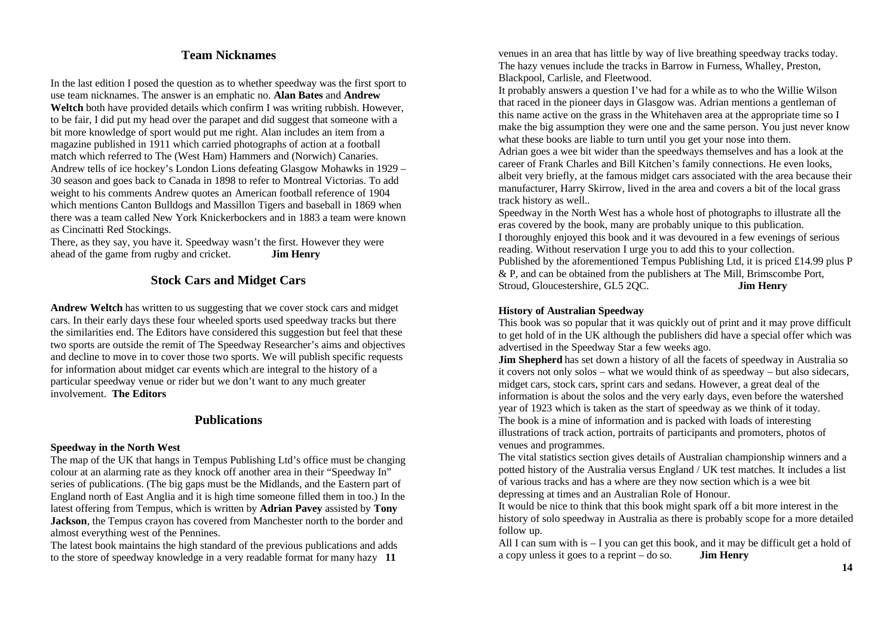# **Team Nicknames**

In the last edition I posed the question as to whether speedway was the first sport to use team nicknames. The answer is an emphatic no. **Alan Bates** and **Andrew Weltch** both have provided details which confirm I was writing rubbish. However, to be fair, I did put my head over the parapet and did suggest that someone with a bit more knowledge of sport would put me right. Alan includes an item from a magazine published in 1911 which carried photographs of action at a football match which referred to The (West Ham) Hammers and (Norwich) Canaries. Andrew tells of ice hockey's London Lions defeating Glasgow Mohawks in 1929 – 30 season and goes back to Canada in 1898 to refer to Montreal Victorias. To add weight to his comments Andrew quotes an American football reference of 1904 which mentions Canton Bulldogs and Massillon Tigers and baseball in 1869 when there was a team called New York Knickerbockers and in 1883 a team were known as Cincinatti Red Stockings.

There, as they say, you have it. Speedway wasn't the first. However they were ahead of the game from rugby and cricket. **Jim Henry**

# **Stock Cars and Midget Cars**

**Andrew Weltch** has written to us suggesting that we cover stock cars and midget cars. In their early days these four wheeled sports used speedway tracks but there the similarities end. The Editors have considered this suggestion but feel that these two sports are outside the remit of The Speedway Researcher's aims and objectives and decline to move in to cover those two sports. We will publish specific requests for information about midget car events which are integral to the history of a particular speedway venue or rider but we don't want to any much greater involvement. **The Editors**

#### **Publications**

#### **Speedway in the North West**

The map of the UK that hangs in Tempus Publishing Ltd's office must be changing colour at an alarming rate as they knock off another area in their "Speedway In" series of publications. (The big gaps must be the Midlands, and the Eastern part of England north of East Anglia and it is high time someone filled them in too.) In the latest offering from Tempus, which is written by **Adrian Pavey** assisted by **Tony Jackson**, the Tempus crayon has covered from Manchester north to the border and almost everything west of the Pennines.

The latest book maintains the high standard of the previous publications and adds to the store of speedway knowledge in a very readable format for many hazy **11** 

venues in an area that has little by way of live breathing speedway tracks today. The hazy venues include the tracks in Barrow in Furness, Whalley, Preston, Blackpool, Carlisle, and Fleetwood.

It probably answers a question I've had for a while as to who the Willie Wilson that raced in the pioneer days in Glasgow was. Adrian mentions a gentleman of this name active on the grass in the Whitehaven area at the appropriate time so I make the big assumption they were one and the same person. You just never know what these books are liable to turn until you get your nose into them.

Adrian goes a wee bit wider than the speedways themselves and has a look at the career of Frank Charles and Bill Kitchen's family connections. He even looks, albeit very briefly, at the famous midget cars associated with the area because their manufacturer, Harry Skirrow, lived in the area and covers a bit of the local grass track history as well..

Speedway in the North West has a whole host of photographs to illustrate all the eras covered by the book, many are probably unique to this publication. I thoroughly enjoyed this book and it was devoured in a few evenings of serious reading. Without reservation I urge you to add this to your collection. Published by the aforementioned Tempus Publishing Ltd, it is priced £14.99 plus P & P, and can be obtained from the publishers at The Mill, Brimscombe Port, Stroud, Gloucestershire, GL5 2QC. **Jim Henry**

#### **History of Australian Speedway**

This book was so popular that it was quickly out of print and it may prove difficult to get hold of in the UK although the publishers did have a special offer which was advertised in the Speedway Star a few weeks ago.

**Jim Shepherd** has set down a history of all the facets of speedway in Australia so it covers not only solos – what we would think of as speedway – but also sidecars, midget cars, stock cars, sprint cars and sedans. However, a great deal of the information is about the solos and the very early days, even before the watershed year of 1923 which is taken as the start of speedway as we think of it today. The book is a mine of information and is packed with loads of interesting illustrations of track action, portraits of participants and promoters, photos of venues and programmes.

The vital statistics section gives details of Australian championship winners and a potted history of the Australia versus England / UK test matches. It includes a list of various tracks and has a where are they now section which is a wee bit depressing at times and an Australian Role of Honour.

It would be nice to think that this book might spark off a bit more interest in the history of solo speedway in Australia as there is probably scope for a more detailed follow up.

All I can sum with is  $-1$  you can get this book, and it may be difficult get a hold of a copy unless it goes to a reprint – do so. **Jim Henry**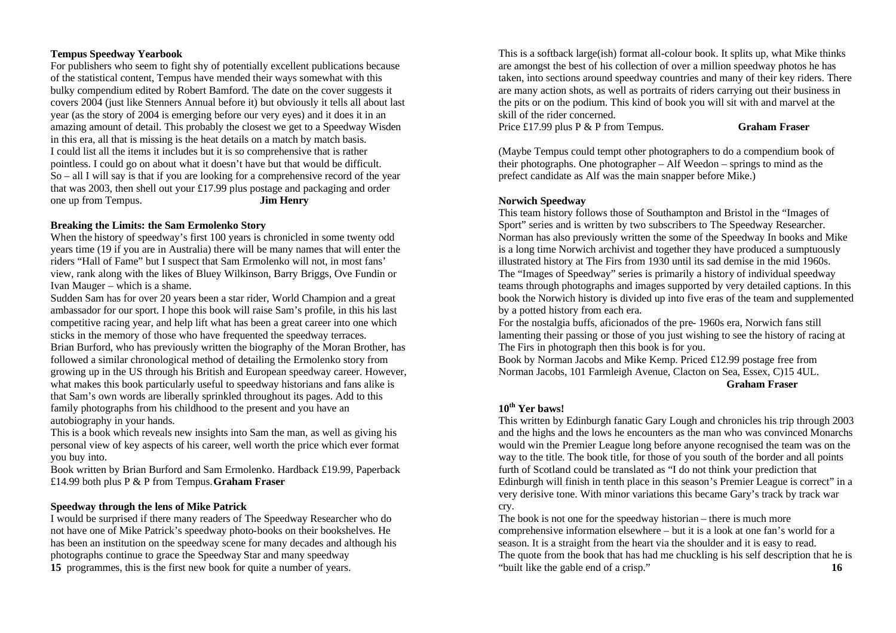#### **Tempus Speedway Yearbook**

For publishers who seem to fight shy of potentially excellent publications because of the statistical content, Tempus have mended their ways somewhat with this bulky compendium edited by Robert Bamford. The date on the cover suggests it covers 2004 (just like Stenners Annual before it) but obviously it tells all about last year (as the story of 2004 is emerging before our very eyes) and it does it in an amazing amount of detail. This probably the closest we get to a Speedway Wisden in this era, all that is missing is the heat details on a match by match basis. I could list all the items it includes but it is so comprehensive that is rather pointless. I could go on about what it doesn't have but that would be difficult. So – all I will say is that if you are looking for a comprehensive record of the year that was 2003, then shell out your £17.99 plus postage and packaging and order one up from Tempus. **Jim Henry**

#### **Breaking the Limits: the Sam Ermolenko Story**

When the history of speedway's first 100 years is chronicled in some twenty odd years time (19 if you are in Australia) there will be many names that will enter the riders "Hall of Fame" but I suspect that Sam Ermolenko will not, in most fans' view, rank along with the likes of Bluey Wilkinson, Barry Briggs, Ove Fundin or Ivan Mauger – which is a shame.

Sudden Sam has for over 20 years been a star rider, World Champion and a great ambassador for our sport. I hope this book will raise Sam's profile, in this his last competitive racing year, and help lift what has been a great career into one which sticks in the memory of those who have frequented the speedway terraces. Brian Burford, who has previously written the biography of the Moran Brother, has followed a similar chronological method of detailing the Ermolenko story from growing up in the US through his British and European speedway career. However, what makes this book particularly useful to speedway historians and fans alike is that Sam's own words are liberally sprinkled throughout its pages. Add to this family photographs from his childhood to the present and you have an autobiography in your hands.

This is a book which reveals new insights into Sam the man, as well as giving his personal view of key aspects of his career, well worth the price which ever format you buy into.

Book written by Brian Burford and Sam Ermolenko. Hardback £19.99, Paperback £14.99 both plus P & P from Tempus.**Graham Fraser**

#### **Speedway through the lens of Mike Patrick**

I would be surprised if there many readers of The Speedway Researcher who do not have one of Mike Patrick's speedway photo-books on their bookshelves. He has been an institution on the speedway scene for many decades and although his photographs continue to grace the Speedway Star and many speedway **15** programmes, this is the first new book for quite a number of years.

This is a softback large(ish) format all-colour book. It splits up, what Mike thinks are amongst the best of his collection of over a million speedway photos he has taken, into sections around speedway countries and many of their key riders. There are many action shots, as well as portraits of riders carrying out their business in the pits or on the podium. This kind of book you will sit with and marvel at the skill of the rider concerned.

Price £17.99 plus P & P from Tempus. **Graham Fraser**

(Maybe Tempus could tempt other photographers to do a compendium book of their photographs. One photographer – Alf Weedon – springs to mind as the prefect candidate as Alf was the main snapper before Mike.)

#### **Norwich Speedway**

This team history follows those of Southampton and Bristol in the "Images of Sport" series and is written by two subscribers to The Speedway Researcher. Norman has also previously written the some of the Speedway In books and Mike is a long time Norwich archivist and together they have produced a sumptuously illustrated history at The Firs from 1930 until its sad demise in the mid 1960s. The "Images of Speedway" series is primarily a history of individual speedway teams through photographs and images supported by very detailed captions. In this book the Norwich history is divided up into five eras of the team and supplemented by a potted history from each era.

For the nostalgia buffs, aficionados of the pre- 1960s era, Norwich fans still lamenting their passing or those of you just wishing to see the history of racing at The Firs in photograph then this book is for you.

Book by Norman Jacobs and Mike Kemp. Priced £12.99 postage free from Norman Jacobs, 101 Farmleigh Avenue, Clacton on Sea, Essex, C)15 4UL. **Graham Fraser**

#### **10th Yer baws!**

This written by Edinburgh fanatic Gary Lough and chronicles his trip through 2003 and the highs and the lows he encounters as the man who was convinced Monarchs would win the Premier League long before anyone recognised the team was on the way to the title. The book title, for those of you south of the border and all points furth of Scotland could be translated as "I do not think your prediction that Edinburgh will finish in tenth place in this season's Premier League is correct" in a very derisive tone. With minor variations this became Gary's track by track war cry.

The book is not one for the speedway historian – there is much more comprehensive information elsewhere – but it is a look at one fan's world for a season. It is a straight from the heart via the shoulder and it is easy to read. The quote from the book that has had me chuckling is his self description that he is "built like the gable end of a crisp." **16**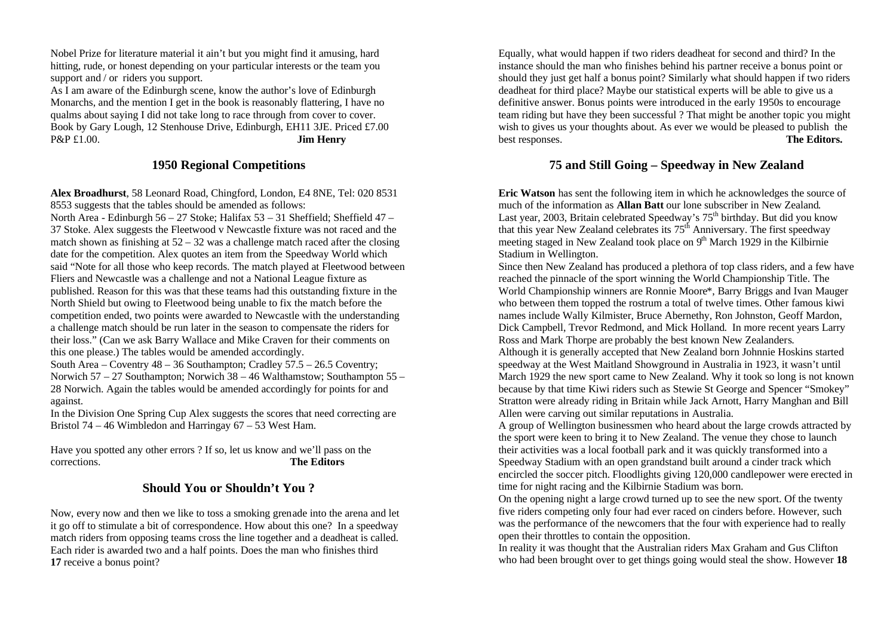Nobel Prize for literature material it ain't but you might find it amusing, hard hitting, rude, or honest depending on your particular interests or the team you support and / or riders you support.

As I am aware of the Edinburgh scene, know the author's love of Edinburgh Monarchs, and the mention I get in the book is reasonably flattering, I have no qualms about saying I did not take long to race through from cover to cover. Book by Gary Lough, 12 Stenhouse Drive, Edinburgh, EH11 3JE. Priced £7.00 P&P £1.00. **Jim Henry**

### **1950 Regional Competitions**

**Alex Broadhurst**, 58 Leonard Road, Chingford, London, E4 8NE, Tel: 020 8531 8553 suggests that the tables should be amended as follows:

North Area - Edinburgh 56 – 27 Stoke; Halifax 53 – 31 Sheffield; Sheffield 47 – 37 Stoke. Alex suggests the Fleetwood v Newcastle fixture was not raced and the match shown as finishing at  $52 - 32$  was a challenge match raced after the closing date for the competition. Alex quotes an item from the Speedway World which said "Note for all those who keep records. The match played at Fleetwood between Fliers and Newcastle was a challenge and not a National League fixture as published. Reason for this was that these teams had this outstanding fixture in the North Shield but owing to Fleetwood being unable to fix the match before the competition ended, two points were awarded to Newcastle with the understanding a challenge match should be run later in the season to compensate the riders for their loss." (Can we ask Barry Wallace and Mike Craven for their comments on this one please.) The tables would be amended accordingly.

South Area – Coventry 48 – 36 Southampton; Cradley 57.5 – 26.5 Coventry; Norwich 57 – 27 Southampton; Norwich 38 – 46 Walthamstow; Southampton 55 – 28 Norwich. Again the tables would be amended accordingly for points for and against.

In the Division One Spring Cup Alex suggests the scores that need correcting are Bristol 74 – 46 Wimbledon and Harringay 67 – 53 West Ham.

Have you spotted any other errors ? If so, let us know and we'll pass on the corrections. **The Editors**

# **Should You or Shouldn't You ?**

Now, every now and then we like to toss a smoking grenade into the arena and let it go off to stimulate a bit of correspondence. How about this one? In a speedway match riders from opposing teams cross the line together and a deadheat is called. Each rider is awarded two and a half points. Does the man who finishes third **17** receive a bonus point?

Equally, what would happen if two riders deadheat for second and third? In the instance should the man who finishes behind his partner receive a bonus point or should they just get half a bonus point? Similarly what should happen if two riders deadheat for third place? Maybe our statistical experts will be able to give us a definitive answer. Bonus points were introduced in the early 1950s to encourage team riding but have they been successful ? That might be another topic you might wish to gives us your thoughts about. As ever we would be pleased to publish the best responses. **The Editors.**

# **75 and Still Going – Speedway in New Zealand**

**Eric Watson** has sent the following item in which he acknowledges the source of much of the information as **Allan Batt** our lone subscriber in New Zealand. Last year, 2003, Britain celebrated Speedway's  $75<sup>th</sup>$  birthday. But did you know that this year New Zealand celebrates its  $75<sup>th</sup>$  Anniversary. The first speedway meeting staged in New Zealand took place on  $9<sup>th</sup>$  March 1929 in the Kilbirnie Stadium in Wellington.

Since then New Zealand has produced a plethora of top class riders, and a few have reached the pinnacle of the sport winning the World Championship Title. The World Championship winners are Ronnie Moore\*, Barry Briggs and Ivan Mauger who between them topped the rostrum a total of twelve times. Other famous kiwi names include Wally Kilmister, Bruce Abernethy, Ron Johnston, Geoff Mardon, Dick Campbell, Trevor Redmond, and Mick Holland. In more recent years Larry Ross and Mark Thorpe are probably the best known New Zealanders. Although it is generally accepted that New Zealand born Johnnie Hoskins started speedway at the West Maitland Showground in Australia in 1923, it wasn't until March 1929 the new sport came to New Zealand. Why it took so long is not known because by that time Kiwi riders such as Stewie St George and Spencer "Smokey" Stratton were already riding in Britain while Jack Arnott, Harry Manghan and Bill Allen were carving out similar reputations in Australia.

A group of Wellington businessmen who heard about the large crowds attracted by the sport were keen to bring it to New Zealand. The venue they chose to launch their activities was a local football park and it was quickly transformed into a Speedway Stadium with an open grandstand built around a cinder track which encircled the soccer pitch. Floodlights giving 120,000 candlepower were erected in time for night racing and the Kilbirnie Stadium was born.

On the opening night a large crowd turned up to see the new sport. Of the twenty five riders competing only four had ever raced on cinders before. However, such was the performance of the newcomers that the four with experience had to really open their throttles to contain the opposition.

In reality it was thought that the Australian riders Max Graham and Gus Clifton who had been brought over to get things going would steal the show. However **18**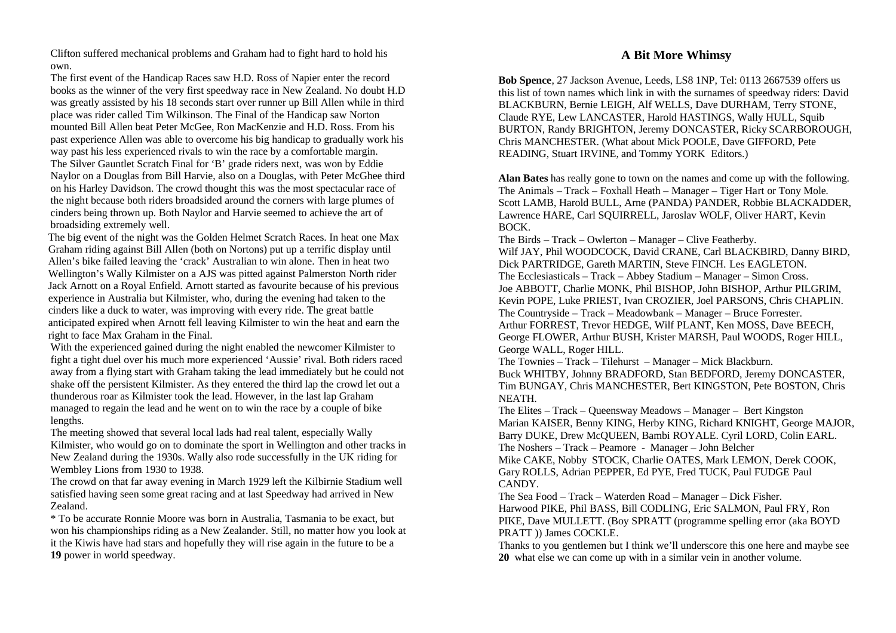Clifton suffered mechanical problems and Graham had to fight hard to hold his own.

The first event of the Handicap Races saw H.D. Ross of Napier enter the record books as the winner of the very first speedway race in New Zealand. No doubt H.D was greatly assisted by his 18 seconds start over runner up Bill Allen while in third place was rider called Tim Wilkinson. The Final of the Handicap saw Norton mounted Bill Allen beat Peter McGee, Ron MacKenzie and H.D. Ross. From his past experience Allen was able to overcome his big handicap to gradually work his way past his less experienced rivals to win the race by a comfortable margin. The Silver Gauntlet Scratch Final for 'B' grade riders next, was won by Eddie Naylor on a Douglas from Bill Harvie, also on a Douglas, with Peter McGhee third on his Harley Davidson. The crowd thought this was the most spectacular race of the night because both riders broadsided around the corners with large plumes of cinders being thrown up. Both Naylor and Harvie seemed to achieve the art of broadsiding extremely well.

The big event of the night was the Golden Helmet Scratch Races. In heat one Max Graham riding against Bill Allen (both on Nortons) put up a terrific display until Allen's bike failed leaving the 'crack' Australian to win alone. Then in heat two Wellington's Wally Kilmister on a AJS was pitted against Palmerston North rider Jack Arnott on a Royal Enfield. Arnott started as favourite because of his previous experience in Australia but Kilmister, who, during the evening had taken to the cinders like a duck to water, was improving with every ride. The great battle anticipated expired when Arnott fell leaving Kilmister to win the heat and earn the right to face Max Graham in the Final.

With the experienced gained during the night enabled the newcomer Kilmister to fight a tight duel over his much more experienced 'Aussie' rival. Both riders raced away from a flying start with Graham taking the lead immediately but he could not shake off the persistent Kilmister. As they entered the third lap the crowd let out a thunderous roar as Kilmister took the lead. However, in the last lap Graham managed to regain the lead and he went on to win the race by a couple of bike lengths.

The meeting showed that several local lads had real talent, especially Wally Kilmister, who would go on to dominate the sport in Wellington and other tracks in New Zealand during the 1930s. Wally also rode successfully in the UK riding for Wembley Lions from 1930 to 1938.

The crowd on that far away evening in March 1929 left the Kilbirnie Stadium well satisfied having seen some great racing and at last Speedway had arrived in New Zealand.

\* To be accurate Ronnie Moore was born in Australia, Tasmania to be exact, but won his championships riding as a New Zealander. Still, no matter how you look at it the Kiwis have had stars and hopefully they will rise again in the future to be a **19** power in world speedway.

# **A Bit More Whimsy**

**Bob Spence**, 27 Jackson Avenue, Leeds, LS8 1NP, Tel: 0113 2667539 offers us this list of town names which link in with the surnames of speedway riders: David BLACKBURN, Bernie LEIGH, Alf WELLS, Dave DURHAM, Terry STONE, Claude RYE, Lew LANCASTER, Harold HASTINGS, Wally HULL, Squib BURTON, Randy BRIGHTON, Jeremy DONCASTER, Ricky SCARBOROUGH, Chris MANCHESTER. (What about Mick POOLE, Dave GIFFORD, Pete READING, Stuart IRVINE, and Tommy YORK Editors.)

**Alan Bates** has really gone to town on the names and come up with the following. The Animals – Track – Foxhall Heath – Manager – Tiger Hart or Tony Mole. Scott LAMB, Harold BULL, Arne (PANDA) PANDER, Robbie BLACKADDER, Lawrence HARE, Carl SQUIRRELL, Jaroslav WOLF, Oliver HART, Kevin BOCK.

The Birds – Track – Owlerton – Manager – Clive Featherby. Wilf JAY, Phil WOODCOCK, David CRANE, Carl BLACKBIRD, Danny BIRD, Dick PARTRIDGE, Gareth MARTIN, Steve FINCH. Les EAGLETON. The Ecclesiasticals – Track – Abbey Stadium – Manager – Simon Cross. Joe ABBOTT, Charlie MONK, Phil BISHOP, John BISHOP, Arthur PILGRIM, Kevin POPE, Luke PRIEST, Ivan CROZIER, Joel PARSONS, Chris CHAPLIN. The Countryside – Track – Meadowbank – Manager – Bruce Forrester. Arthur FORREST, Trevor HEDGE, Wilf PLANT, Ken MOSS, Dave BEECH, George FLOWER, Arthur BUSH, Krister MARSH, Paul WOODS, Roger HILL, George WALL, Roger HILL.

The Townies – Track – Tilehurst – Manager – Mick Blackburn.

Buck WHITBY, Johnny BRADFORD, Stan BEDFORD, Jeremy DONCASTER, Tim BUNGAY, Chris MANCHESTER, Bert KINGSTON, Pete BOSTON, Chris NEATH.

The Elites – Track – Queensway Meadows – Manager – Bert Kingston Marian KAISER, Benny KING, Herby KING, Richard KNIGHT, George MAJOR, Barry DUKE, Drew McQUEEN, Bambi ROYALE. Cyril LORD, Colin EARL. The Noshers – Track – Peamore - Manager – John Belcher Mike CAKE, Nobby STOCK, Charlie OATES, Mark LEMON, Derek COOK, Gary ROLLS, Adrian PEPPER, Ed PYE, Fred TUCK, Paul FUDGE Paul

CANDY.

The Sea Food – Track – Waterden Road – Manager – Dick Fisher. Harwood PIKE, Phil BASS, Bill CODLING, Eric SALMON, Paul FRY, Ron PIKE, Dave MULLETT. (Boy SPRATT (programme spelling error (aka BOYD PRATT )) James COCKLE.

Thanks to you gentlemen but I think we'll underscore this one here and maybe see **20** what else we can come up with in a similar vein in another volume.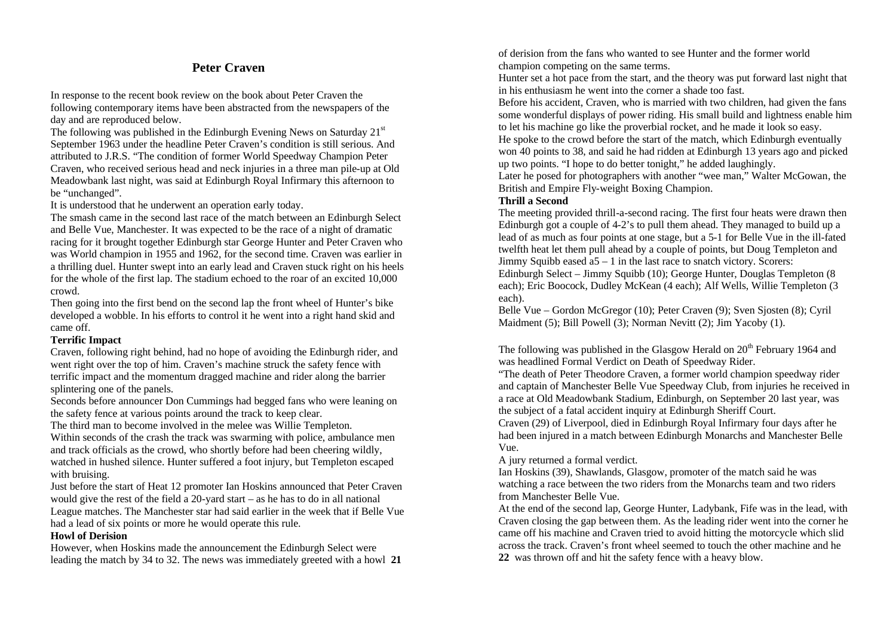# **Peter Craven**

In response to the recent book review on the book about Peter Craven the following contemporary items have been abstracted from the newspapers of the day and are reproduced below.

The following was published in the Edinburgh Evening News on Saturday  $21<sup>st</sup>$ September 1963 under the headline Peter Craven's condition is still serious. And attributed to J.R.S. "The condition of former World Speedway Champion Peter Craven, who received serious head and neck injuries in a three man pile-up at Old Meadowbank last night, was said at Edinburgh Royal Infirmary this afternoon to be "unchanged".

It is understood that he underwent an operation early today.

The smash came in the second last race of the match between an Edinburgh Select and Belle Vue, Manchester. It was expected to be the race of a night of dramatic racing for it brought together Edinburgh star George Hunter and Peter Craven who was World champion in 1955 and 1962, for the second time. Craven was earlier in a thrilling duel. Hunter swept into an early lead and Craven stuck right on his heels for the whole of the first lap. The stadium echoed to the roar of an excited 10,000 crowd.

Then going into the first bend on the second lap the front wheel of Hunter's bike developed a wobble. In his efforts to control it he went into a right hand skid and came off.

#### **Terrific Impact**

Craven, following right behind, had no hope of avoiding the Edinburgh rider, and went right over the top of him. Craven's machine struck the safety fence with terrific impact and the momentum dragged machine and rider along the barrier splintering one of the panels.

Seconds before announcer Don Cummings had begged fans who were leaning on the safety fence at various points around the track to keep clear.

The third man to become involved in the melee was Willie Templeton. Within seconds of the crash the track was swarming with police, ambulance men and track officials as the crowd, who shortly before had been cheering wildly, watched in hushed silence. Hunter suffered a foot injury, but Templeton escaped with bruising.

Just before the start of Heat 12 promoter Ian Hoskins announced that Peter Craven would give the rest of the field a 20-yard start – as he has to do in all national League matches. The Manchester star had said earlier in the week that if Belle Vue had a lead of six points or more he would operate this rule.

#### **Howl of Derision**

However, when Hoskins made the announcement the Edinburgh Select were leading the match by 34 to 32. The news was immediately greeted with a howl **21** of derision from the fans who wanted to see Hunter and the former world champion competing on the same terms.

Hunter set a hot pace from the start, and the theory was put forward last night that in his enthusiasm he went into the corner a shade too fast.

Before his accident, Craven, who is married with two children, had given the fans some wonderful displays of power riding. His small build and lightness enable him to let his machine go like the proverbial rocket, and he made it look so easy.

He spoke to the crowd before the start of the match, which Edinburgh eventually won 40 points to 38, and said he had ridden at Edinburgh 13 years ago and picked up two points. "I hope to do better tonight," he added laughingly.

Later he posed for photographers with another "wee man," Walter McGowan, the British and Empire Fly-weight Boxing Champion.

#### **Thrill a Second**

The meeting provided thrill-a-second racing. The first four heats were drawn then Edinburgh got a couple of 4-2's to pull them ahead. They managed to build up a lead of as much as four points at one stage, but a 5-1 for Belle Vue in the ill-fated twelfth heat let them pull ahead by a couple of points, but Doug Templeton and Jimmy Squibb eased  $a5 - 1$  in the last race to snatch victory. Scorers:

Edinburgh Select – Jimmy Squibb (10); George Hunter, Douglas Templeton (8 each); Eric Boocock, Dudley McKean (4 each); Alf Wells, Willie Templeton (3 each).

Belle Vue – Gordon McGregor (10); Peter Craven (9); Sven Sjosten (8); Cyril Maidment (5); Bill Powell (3); Norman Nevitt (2); Jim Yacoby (1).

The following was published in the Glasgow Herald on  $20<sup>th</sup>$  February 1964 and was headlined Formal Verdict on Death of Speedway Rider.

"The death of Peter Theodore Craven, a former world champion speedway rider and captain of Manchester Belle Vue Speedway Club, from injuries he received in a race at Old Meadowbank Stadium, Edinburgh, on September 20 last year, was the subject of a fatal accident inquiry at Edinburgh Sheriff Court.

Craven (29) of Liverpool, died in Edinburgh Royal Infirmary four days after he had been injured in a match between Edinburgh Monarchs and Manchester Belle Vue.

A jury returned a formal verdict.

Ian Hoskins (39), Shawlands, Glasgow, promoter of the match said he was watching a race between the two riders from the Monarchs team and two riders from Manchester Belle Vue.

At the end of the second lap, George Hunter, Ladybank, Fife was in the lead, with Craven closing the gap between them. As the leading rider went into the corner he came off his machine and Craven tried to avoid hitting the motorcycle which slid across the track. Craven's front wheel seemed to touch the other machine and he **22** was thrown off and hit the safety fence with a heavy blow.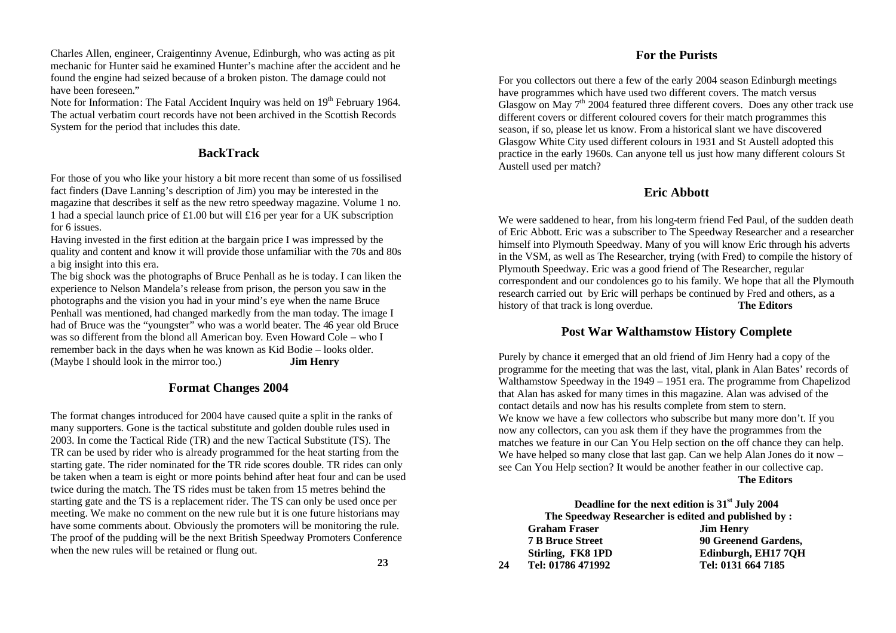Charles Allen, engineer, Craigentinny Avenue, Edinburgh, who was acting as pit mechanic for Hunter said he examined Hunter's machine after the accident and he found the engine had seized because of a broken piston. The damage could not have been foreseen."

Note for Information: The Fatal Accident Inquiry was held on 19<sup>th</sup> February 1964. The actual verbatim court records have not been archived in the Scottish Records System for the period that includes this date.

#### **BackTrack**

For those of you who like your history a bit more recent than some of us fossilised fact finders (Dave Lanning's description of Jim) you may be interested in the magazine that describes it self as the new retro speedway magazine. Volume 1 no. 1 had a special launch price of £1.00 but will £16 per year for a UK subscription for 6 issues.

Having invested in the first edition at the bargain price I was impressed by the quality and content and know it will provide those unfamiliar with the 70s and 80s a big insight into this era.

The big shock was the photographs of Bruce Penhall as he is today. I can liken the experience to Nelson Mandela's release from prison, the person you saw in the photographs and the vision you had in your mind's eye when the name Bruce Penhall was mentioned, had changed markedly from the man today. The image I had of Bruce was the "youngster" who was a world beater. The 46 year old Bruce was so different from the blond all American boy. Even Howard Cole – who I remember back in the days when he was known as Kid Bodie – looks older. (Maybe I should look in the mirror too.) **Jim Henry**

### **Format Changes 2004**

The format changes introduced for 2004 have caused quite a split in the ranks of many supporters. Gone is the tactical substitute and golden double rules used in 2003. In come the Tactical Ride (TR) and the new Tactical Substitute (TS). The TR can be used by rider who is already programmed for the heat starting from the starting gate. The rider nominated for the TR ride scores double. TR rides can only be taken when a team is eight or more points behind after heat four and can be used twice during the match. The TS rides must be taken from 15 metres behind the starting gate and the TS is a replacement rider. The TS can only be used once per meeting. We make no comment on the new rule but it is one future historians may have some comments about. Obviously the promoters will be monitoring the rule. The proof of the pudding will be the next British Speedway Promoters Conference when the new rules will be retained or flung out.

### **For the Purists**

For you collectors out there a few of the early 2004 season Edinburgh meetings have programmes which have used two different covers. The match versus Glasgow on May  $7<sup>th</sup>$  2004 featured three different covers. Does any other track use different covers or different coloured covers for their match programmes this season, if so, please let us know. From a historical slant we have discovered Glasgow White City used different colours in 1931 and St Austell adopted this practice in the early 1960s. Can anyone tell us just how many different colours St Austell used per match?

# **Eric Abbott**

We were saddened to hear, from his long-term friend Fed Paul, of the sudden death of Eric Abbott. Eric was a subscriber to The Speedway Researcher and a researcher himself into Plymouth Speedway. Many of you will know Eric through his adverts in the VSM, as well as The Researcher, trying (with Fred) to compile the history of Plymouth Speedway. Eric was a good friend of The Researcher, regular correspondent and our condolences go to his family. We hope that all the Plymouth research carried out by Eric will perhaps be continued by Fred and others, as a history of that track is long overdue. **The Editors**

### **Post War Walthamstow History Complete**

Purely by chance it emerged that an old friend of Jim Henry had a copy of the programme for the meeting that was the last, vital, plank in Alan Bates' records of Walthamstow Speedway in the 1949 – 1951 era. The programme from Chapelizod that Alan has asked for many times in this magazine. Alan was advised of the contact details and now has his results complete from stem to stern. We know we have a few collectors who subscribe but many more don't. If you now any collectors, can you ask them if they have the programmes from the matches we feature in our Can You Help section on the off chance they can help. We have helped so many close that last gap. Can we help Alan Jones do it now – see Can You Help section? It would be another feather in our collective cap. **The Editors**

|    |                         | Deadline for the next edition is 31 <sup>st</sup> July 2004 |
|----|-------------------------|-------------------------------------------------------------|
|    |                         | The Speedway Researcher is edited and published by :        |
|    | <b>Graham Fraser</b>    | <b>Jim Henry</b>                                            |
|    | <b>7 B Bruce Street</b> | 90 Greenend Gardens,                                        |
|    | Stirling, FK8 1PD       | Edinburgh, EH177QH                                          |
| 24 | Tel: 01786 471992       | Tel: 0131 664 7185                                          |